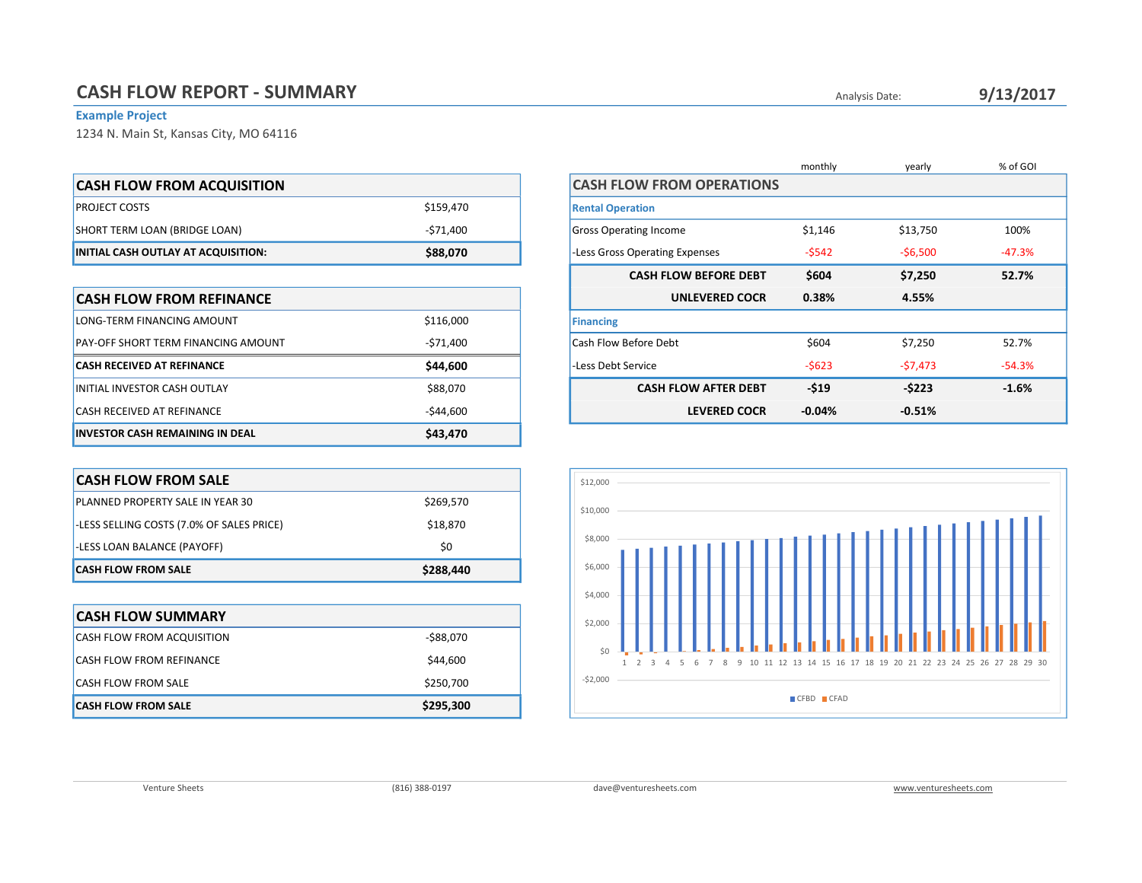## Example Project

1234 N. Main St, Kansas City, MO 64116

| <b>CASH FLOW FROM ACQUISITION</b>   |           |
|-------------------------------------|-----------|
| <b>PROJECT COSTS</b>                | \$159,470 |
| SHORT TERM LOAN (BRIDGE LOAN)       | -\$71.400 |
| INITIAL CASH OUTLAY AT ACQUISITION: | \$88,070  |

| <b>CASH FLOW FROM REFINANCE</b>            |            | <b>UNLEVERED COCR</b>       |
|--------------------------------------------|------------|-----------------------------|
| LONG-TERM FINANCING AMOUNT                 | \$116,000  | <b>Financing</b>            |
| <b>PAY-OFF SHORT TERM FINANCING AMOUNT</b> | -\$71.400  | Cash Flow Before Debt       |
| <b>CASH RECEIVED AT REFINANCE</b>          | \$44,600   | -Less Debt Service          |
| INITIAL INVESTOR CASH OUTLAY               | \$88,070   | <b>CASH FLOW AFTER DEBT</b> |
| <b>CASH RECEIVED AT REFINANCE</b>          | $-544,600$ | <b>LEVERED COCR</b>         |
| <b>INVESTOR CASH REMAINING IN DEAL</b>     | \$43,470   |                             |

| <b>CASH FLOW FROM SALE</b>                |           |
|-------------------------------------------|-----------|
| <b>PLANNED PROPERTY SALE IN YEAR 30</b>   | \$269,570 |
| -LESS SELLING COSTS (7.0% OF SALES PRICE) | \$18,870  |
| -LESS LOAN BALANCE (PAYOFF)               | \$0       |
| <b>CASH FLOW FROM SALE</b>                | \$288,440 |

| <b>CASH FLOW SUMMARY</b>          |           |
|-----------------------------------|-----------|
| <b>CASH FLOW FROM ACQUISITION</b> | -\$88,070 |
| CASH FLOW FROM REFINANCE          | \$44,600  |
| <b>CASH FLOW FROM SALE</b>        | \$250,700 |
| <b>CASH FLOW FROM SALE</b>        | \$295,300 |

|                                  | monthly  | yearly    | % of GOI |
|----------------------------------|----------|-----------|----------|
| <b>CASH FLOW FROM OPERATIONS</b> |          |           |          |
| <b>Rental Operation</b>          |          |           |          |
| <b>Gross Operating Income</b>    | \$1,146  | \$13,750  | 100%     |
| -Less Gross Operating Expenses   | $-5542$  | $-56,500$ | $-47.3%$ |
| <b>CASH FLOW BEFORE DEBT</b>     | \$604    | \$7,250   | 52.7%    |
| <b>UNLEVERED COCR</b>            | 0.38%    | 4.55%     |          |
| <b>Financing</b>                 |          |           |          |
| Cash Flow Before Debt            | \$604    | \$7,250   | 52.7%    |
| -Less Debt Service               | $-5623$  | $-57,473$ | $-54.3%$ |
| <b>CASH FLOW AFTER DEBT</b>      | $-519$   | $-5223$   | $-1.6%$  |
| <b>LEVERED COCR</b>              | $-0.04%$ | $-0.51%$  |          |

Analysis Date:

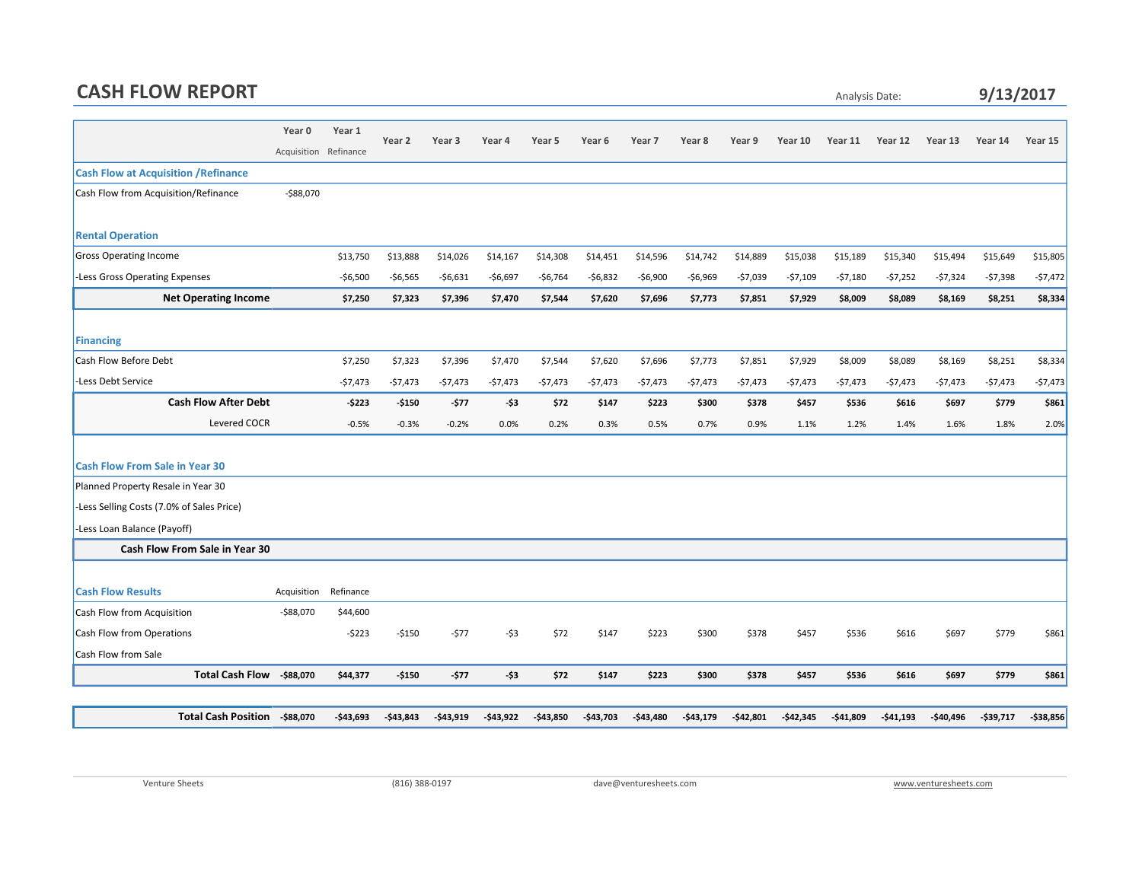## CASH FLOW REPORT

## Analysis Date: 9/13/2017

|                                             | Year 0                | Year 1     |           |            |           |            |            |            |           |              |            |            |            |              |            |            |
|---------------------------------------------|-----------------------|------------|-----------|------------|-----------|------------|------------|------------|-----------|--------------|------------|------------|------------|--------------|------------|------------|
|                                             | Acquisition Refinance |            | Year 2    | Year 3     | Year 4    | Year 5     | Year 6     | Year 7     | Year 8    | Year 9       | Year 10    | Year 11    | Year 12    | Year 13      | Year 14    | Year 15    |
| <b>Cash Flow at Acquisition / Refinance</b> |                       |            |           |            |           |            |            |            |           |              |            |            |            |              |            |            |
| Cash Flow from Acquisition/Refinance        | $-$ \$88,070          |            |           |            |           |            |            |            |           |              |            |            |            |              |            |            |
| <b>Rental Operation</b>                     |                       |            |           |            |           |            |            |            |           |              |            |            |            |              |            |            |
| <b>Gross Operating Income</b>               |                       | \$13,750   | \$13,888  | \$14,026   | \$14,167  | \$14,308   | \$14,451   | \$14,596   | \$14,742  | \$14,889     | \$15,038   | \$15,189   | \$15,340   | \$15,494     | \$15,649   | \$15,805   |
| -Less Gross Operating Expenses              |                       | $-$6,500$  | $-56,565$ | $-56,631$  | $-$6,697$ | $-56,764$  | $-56,832$  | $-56,900$  | $-56,969$ | $-57,039$    | $-57,109$  | $-57,180$  | $-57,252$  | $-57,324$    | $-57,398$  | $-57,472$  |
| <b>Net Operating Income</b>                 |                       | \$7,250    | \$7,323   | \$7,396    | \$7,470   | \$7,544    | \$7,620    | \$7,696    | \$7,773   | \$7,851      | \$7,929    | \$8,009    | \$8,089    | \$8,169      | \$8,251    | \$8,334    |
| Financing                                   |                       |            |           |            |           |            |            |            |           |              |            |            |            |              |            |            |
| Cash Flow Before Debt                       |                       | \$7,250    | \$7,323   | \$7,396    | \$7,470   | \$7,544    | \$7,620    | \$7,696    | \$7,773   | \$7,851      | \$7,929    | \$8,009    | \$8,089    | \$8,169      | \$8,251    | \$8,334    |
| -Less Debt Service                          |                       | $-57,473$  | $-57,473$ | $-57,473$  | $-57,473$ | $-57,473$  | $-57,473$  | $-57,473$  | $-$7,473$ | $-57,473$    | $-57,473$  | $-57,473$  | $-57,473$  | $-57,473$    | $-57,473$  | $-57,473$  |
| <b>Cash Flow After Debt</b>                 |                       | $-5223$    | $-5150$   | $-577$     | $-53$     | \$72       | \$147      | \$223      | \$300     | \$378        | \$457      | \$536      | \$616      | \$697        | \$779      | \$861      |
| Levered COCR                                |                       | $-0.5%$    | $-0.3%$   | $-0.2%$    | 0.0%      | 0.2%       | 0.3%       | 0.5%       | 0.7%      | 0.9%         | 1.1%       | 1.2%       | 1.4%       | 1.6%         | 1.8%       | 2.0%       |
|                                             |                       |            |           |            |           |            |            |            |           |              |            |            |            |              |            |            |
| <b>Cash Flow From Sale in Year 30</b>       |                       |            |           |            |           |            |            |            |           |              |            |            |            |              |            |            |
| Planned Property Resale in Year 30          |                       |            |           |            |           |            |            |            |           |              |            |            |            |              |            |            |
| -Less Selling Costs (7.0% of Sales Price)   |                       |            |           |            |           |            |            |            |           |              |            |            |            |              |            |            |
| -Less Loan Balance (Payoff)                 |                       |            |           |            |           |            |            |            |           |              |            |            |            |              |            |            |
| <b>Cash Flow From Sale in Year 30</b>       |                       |            |           |            |           |            |            |            |           |              |            |            |            |              |            |            |
|                                             |                       |            |           |            |           |            |            |            |           |              |            |            |            |              |            |            |
| <b>Cash Flow Results</b>                    | Acquisition           | Refinance  |           |            |           |            |            |            |           |              |            |            |            |              |            |            |
| Cash Flow from Acquisition                  | $-$88,070$            | \$44,600   |           |            |           |            |            |            |           |              |            |            |            |              |            |            |
| Cash Flow from Operations                   |                       | $-5223$    | $-5150$   | $-577$     | $-53$     | \$72       | \$147      | \$223      | \$300     | \$378        | \$457      | \$536      | \$616      | \$697        | \$779      | \$861      |
| Cash Flow from Sale                         |                       |            |           |            |           |            |            |            |           |              |            |            |            |              |            |            |
| <b>Total Cash Flow</b>                      | -\$88,070             | \$44,377   | $-$150$   | $-577$     | $-53$     | \$72       | \$147      | \$223      | \$300     | \$378        | \$457      | \$536      | \$616      | \$697        | \$779      | \$861      |
|                                             |                       |            |           |            |           |            |            |            |           |              |            |            |            |              |            |            |
| <b>Total Cash Position</b>                  | -\$88,070             | $-543,693$ | -\$43,843 | $-543,919$ | -\$43,922 | $-543,850$ | $-543,703$ | $-543,480$ | -\$43,179 | $-$ \$42,801 | $-542,345$ | $-541,809$ | $-541,193$ | $-$ \$40,496 | $-539,717$ | $-$38,856$ |